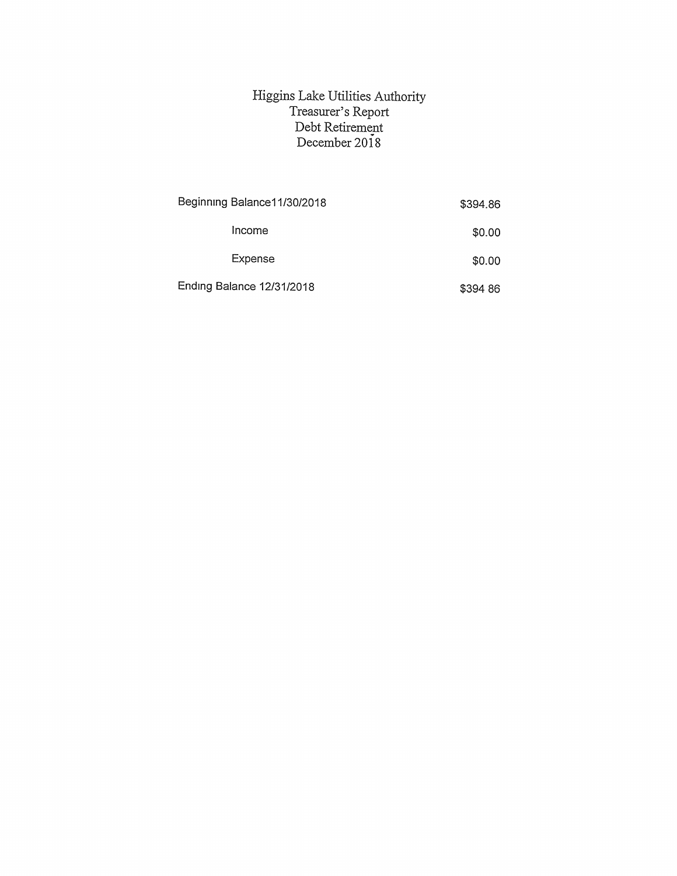## Higgins Lake Utilities Authority Treasurer's Report Debt Retirement December 2018

| Beginning Balance 11/30/2018     | \$394.86 |
|----------------------------------|----------|
| Income                           | \$0.00   |
| Expense                          | \$0.00   |
| <b>Ending Balance 12/31/2018</b> | \$394 86 |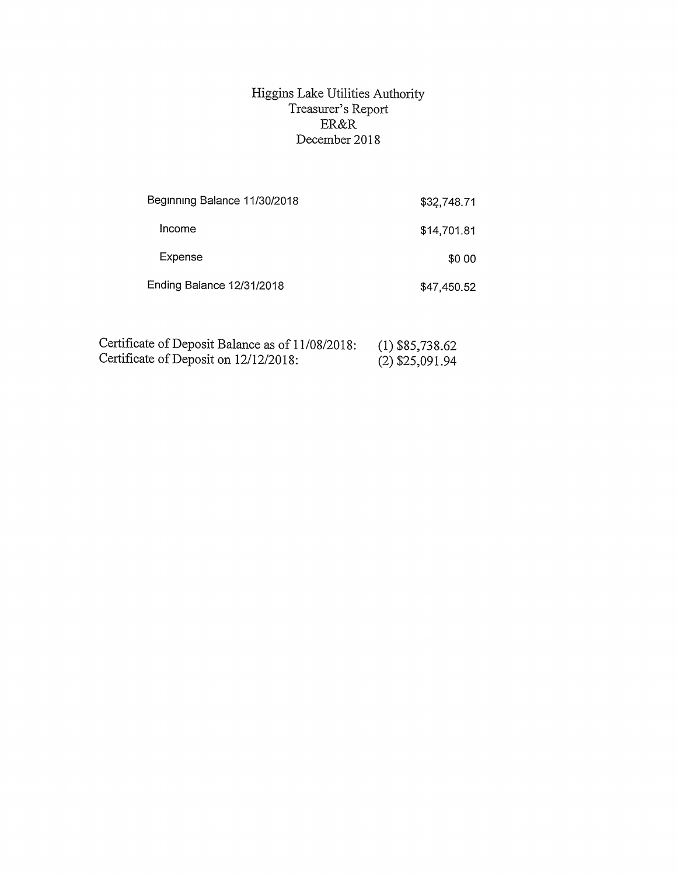## Higgins Lake Utilities Authority Treasurer's Report ER&R December 2018

| Beginning Balance 11/30/2018     | \$32,748.71 |
|----------------------------------|-------------|
| Income                           | \$14,701.81 |
| Expense                          | \$0.00      |
| <b>Ending Balance 12/31/2018</b> | \$47,450.52 |

| Certificate of Deposit Balance as of 11/08/2018: |  | $(1)$ \$85,738.62 |
|--------------------------------------------------|--|-------------------|
| Certificate of Deposit on 12/12/2018:            |  | (2) \$25,091.94   |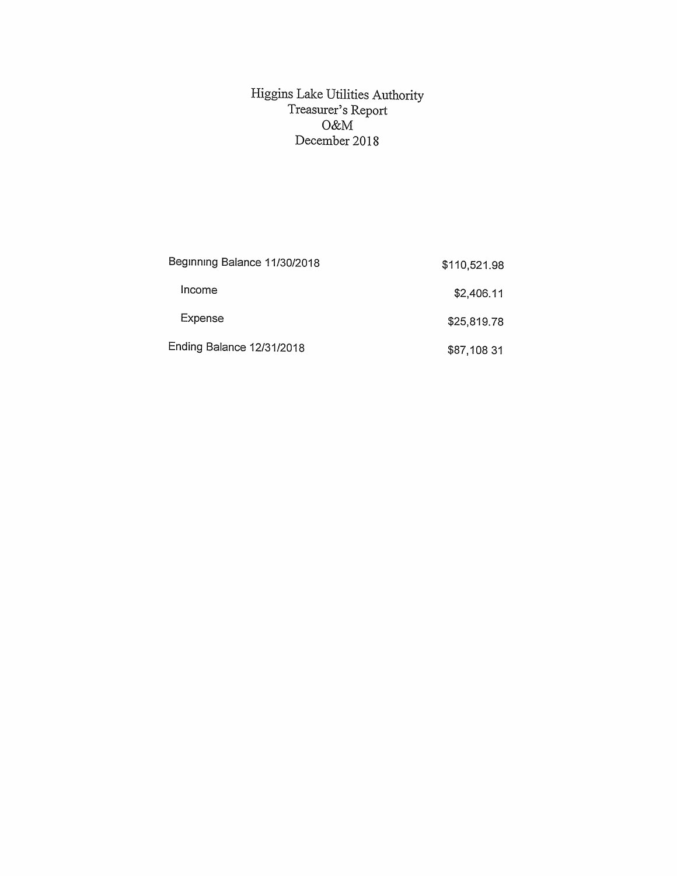## Higgins Lake Utilities Authority Treasurer's Report O&M December 2018

| Beginning Balance 11/30/2018 | \$110,521.98 |
|------------------------------|--------------|
| Income                       | \$2,406.11   |
| Expense                      | \$25,819.78  |
| Ending Balance 12/31/2018    | \$87,108 31  |